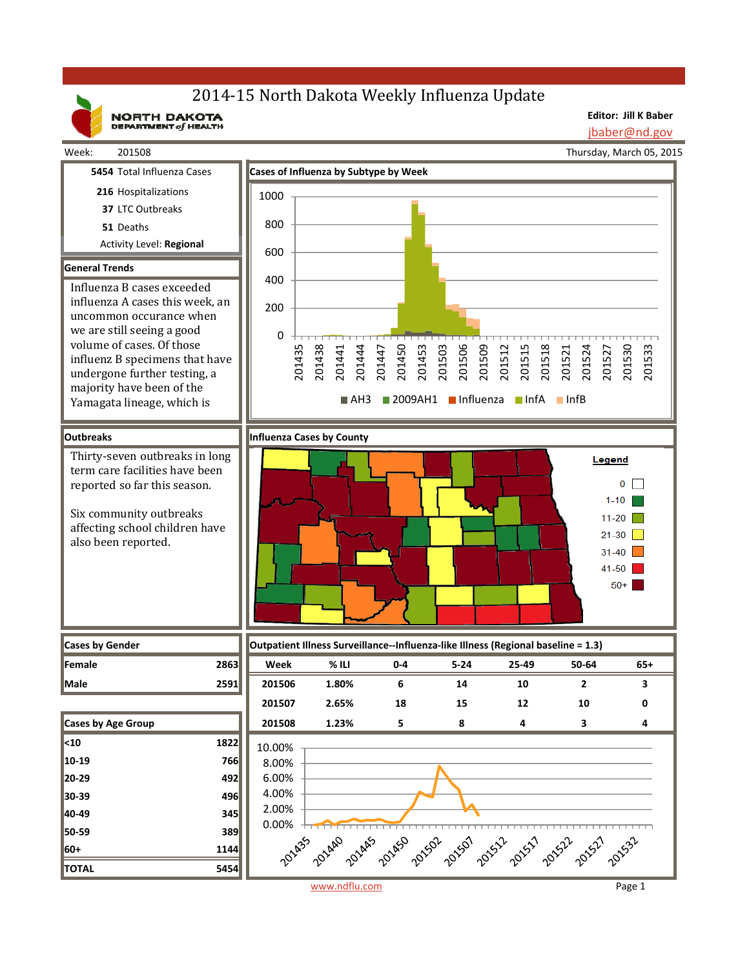# 2014-15 North Dakota Weekly Influenza Update

NORTH DAKOTA

**Editor: Jill K Baber** jbaber@nd.gov

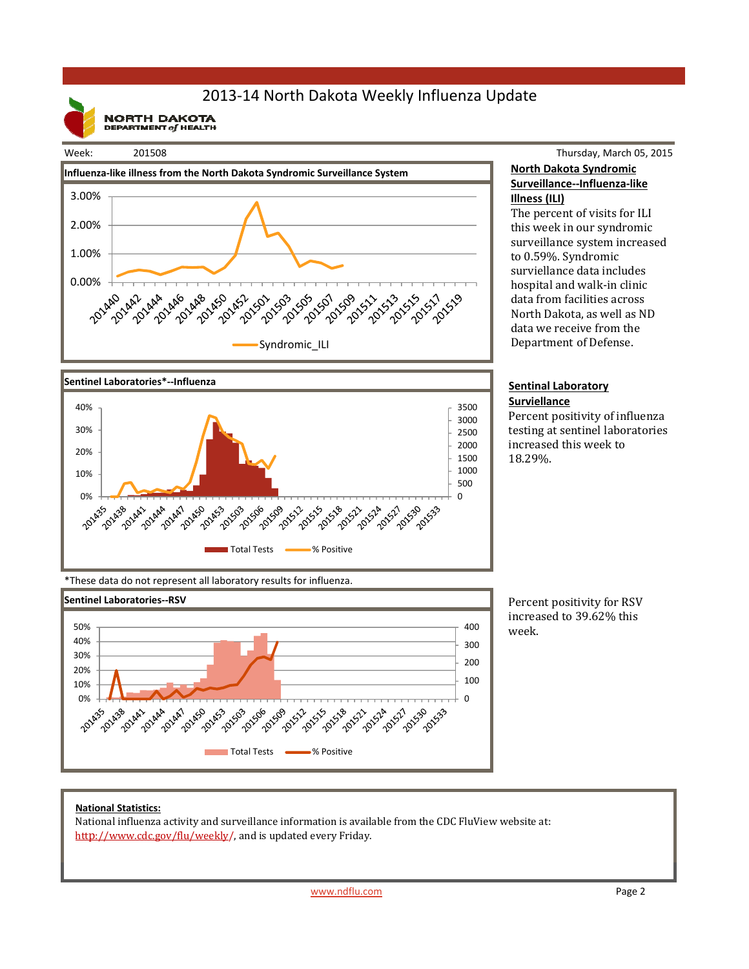## 2013‐14 North Dakota Weekly Influenza Update

**NORTH DAKOTA**<br>DEPARTMENT of HEALTH







Thursday, March 05, 2015 **North Dakota Syndromic Surveillance‐‐Influenza‐like Illness (ILI)**

The percent of visits for ILI this week in our syndromic surveillance system increased to 0.59%. Syndromic surviellance data includes hospital and walk-in clinic data from facilities across North Dakota, as well as ND data we receive from the Department of Defense.

#### **Sentinal Laboratory Surviellance**

Percent positivity of influenza testing at sentinel laboratories increased this week to 18.29%. 

\*These data do not represent all laboratory results for influenza.



Percent positivity for RSV increased to 39.62% this week. 

### **National Statistics:**

National influenza activity and surveillance information is available from the CDC FluView website at: http://www.cdc.gov/flu/weekly/, and is updated every Friday.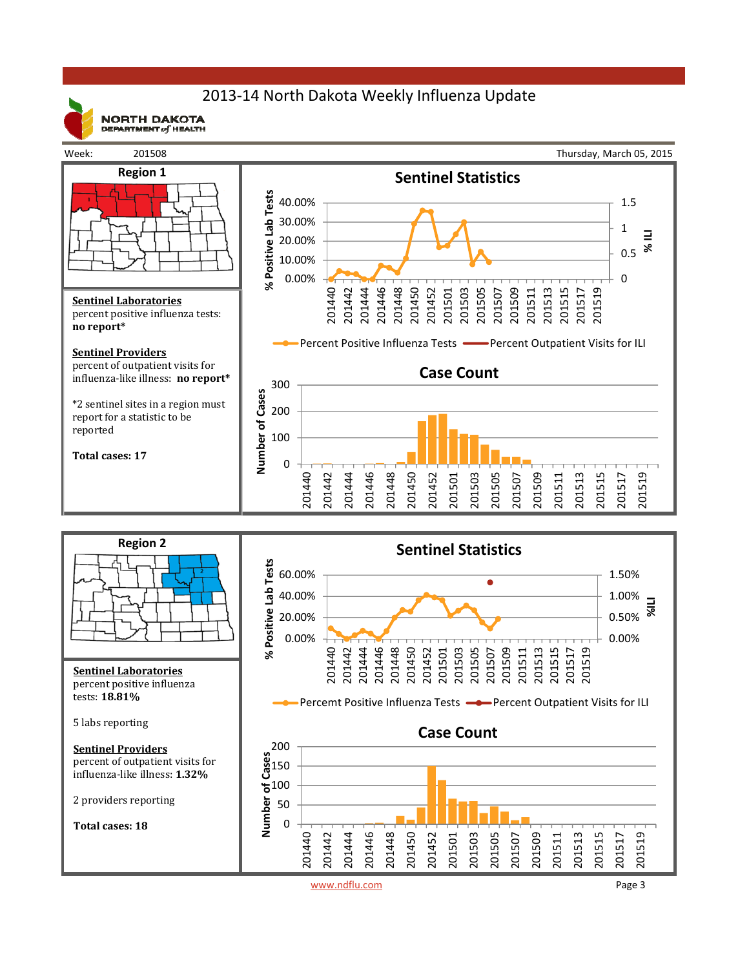## 2013‐14 North Dakota Weekly Influenza Update



**NORTH DAKOTA** DEPARTMENT  $of$  HEALTH